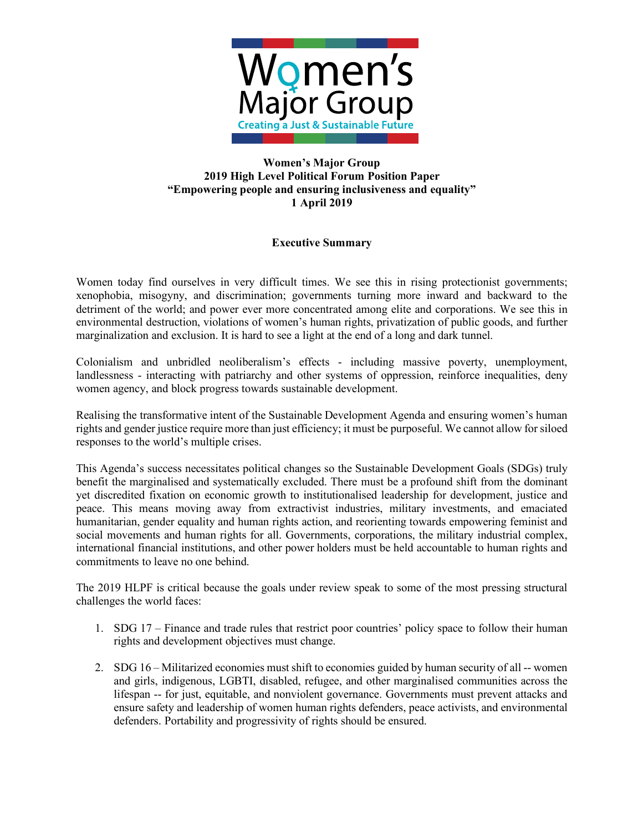

## **Women's Major Group 2019 High Level Political Forum Position Paper "Empowering people and ensuring inclusiveness and equality" 1 April 2019**

## **Executive Summary**

Women today find ourselves in very difficult times. We see this in rising protectionist governments; xenophobia, misogyny, and discrimination; governments turning more inward and backward to the detriment of the world; and power ever more concentrated among elite and corporations. We see this in environmental destruction, violations of women's human rights, privatization of public goods, and further marginalization and exclusion. It is hard to see a light at the end of a long and dark tunnel.

Colonialism and unbridled neoliberalism's effects - including massive poverty, unemployment, landlessness - interacting with patriarchy and other systems of oppression, reinforce inequalities, deny women agency, and block progress towards sustainable development.

Realising the transformative intent of the Sustainable Development Agenda and ensuring women's human rights and gender justice require more than just efficiency; it must be purposeful. We cannot allow for siloed responses to the world's multiple crises.

This Agenda's success necessitates political changes so the Sustainable Development Goals (SDGs) truly benefit the marginalised and systematically excluded. There must be a profound shift from the dominant yet discredited fixation on economic growth to institutionalised leadership for development, justice and peace. This means moving away from extractivist industries, military investments, and emaciated humanitarian, gender equality and human rights action, and reorienting towards empowering feminist and social movements and human rights for all. Governments, corporations, the military industrial complex, international financial institutions, and other power holders must be held accountable to human rights and commitments to leave no one behind.

The 2019 HLPF is critical because the goals under review speak to some of the most pressing structural challenges the world faces:

- 1. SDG 17 Finance and trade rules that restrict poor countries' policy space to follow their human rights and development objectives must change.
- 2. SDG 16 Militarized economies must shift to economies guided by human security of all -- women and girls, indigenous, LGBTI, disabled, refugee, and other marginalised communities across the lifespan -- for just, equitable, and nonviolent governance. Governments must prevent attacks and ensure safety and leadership of women human rights defenders, peace activists, and environmental defenders. Portability and progressivity of rights should be ensured.